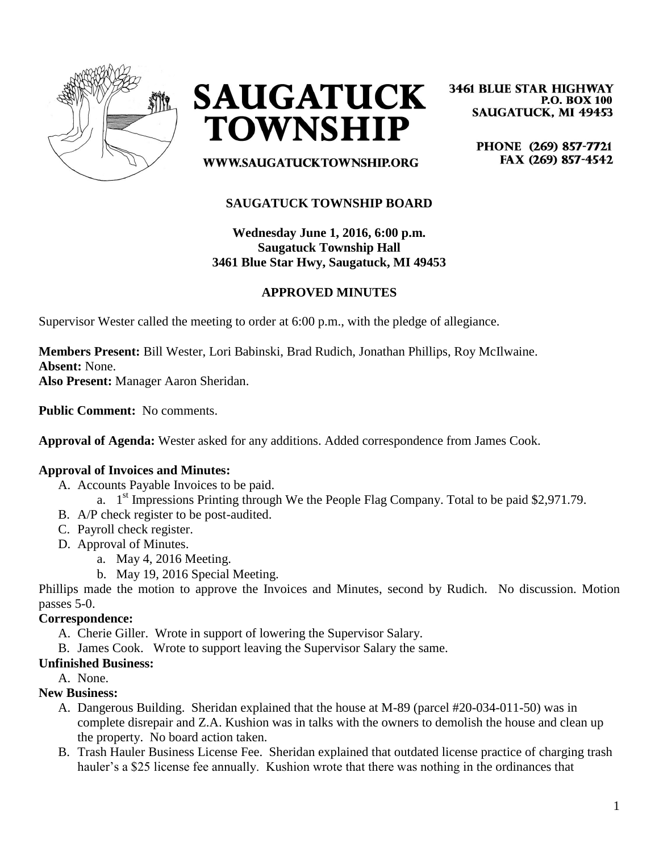



**3461 BLUE STAR HIGHWAY P.O. BOX 100 SAUGATUCK, MI 49453** 

> PHONE (269) 857-7721 FAX (269) 857-4542

WWW.SAUGATUCKTOWNSHIP.ORG

# **SAUGATUCK TOWNSHIP BOARD**

**Wednesday June 1, 2016, 6:00 p.m. Saugatuck Township Hall 3461 Blue Star Hwy, Saugatuck, MI 49453**

# **APPROVED MINUTES**

Supervisor Wester called the meeting to order at 6:00 p.m., with the pledge of allegiance.

**Members Present:** Bill Wester, Lori Babinski, Brad Rudich, Jonathan Phillips, Roy McIlwaine. **Absent:** None.

**Also Present:** Manager Aaron Sheridan.

**Public Comment:** No comments.

**Approval of Agenda:** Wester asked for any additions. Added correspondence from James Cook.

## **Approval of Invoices and Minutes:**

- A. Accounts Payable Invoices to be paid.
	- a. 1<sup>st</sup> Impressions Printing through We the People Flag Company. Total to be paid \$2,971.79.
- B. A/P check register to be post-audited.
- C. Payroll check register.
- D. Approval of Minutes.
	- a. May 4, 2016 Meeting.
		- b. May 19, 2016 Special Meeting.

Phillips made the motion to approve the Invoices and Minutes, second by Rudich. No discussion. Motion passes 5-0.

### **Correspondence:**

- A. Cherie Giller. Wrote in support of lowering the Supervisor Salary.
- B. James Cook. Wrote to support leaving the Supervisor Salary the same.

### **Unfinished Business:**

A. None.

### **New Business:**

- A. Dangerous Building. Sheridan explained that the house at M-89 (parcel #20-034-011-50) was in complete disrepair and Z.A. Kushion was in talks with the owners to demolish the house and clean up the property. No board action taken.
- B. Trash Hauler Business License Fee. Sheridan explained that outdated license practice of charging trash hauler's a \$25 license fee annually. Kushion wrote that there was nothing in the ordinances that